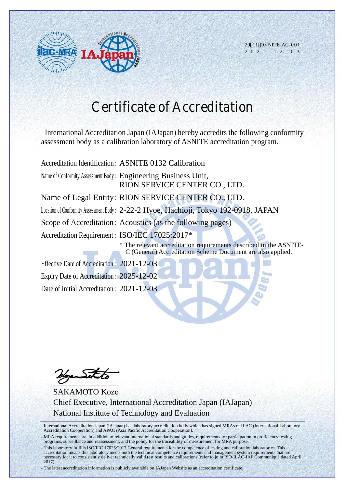

20 11 10-NITE-AC-001 2 0 2 1 - 1 2 - 0 3

## **Certificate of Accreditation**

International Accreditation Japan (IAJapan) hereby accredits the following conformity assessment body as a calibration laboratory of ASNITE accreditation program.

Accreditation Identification: ASNITE 0132 Calibration

Name of Conformity Assessment Body: Engineering Business Unit, RION SERVICE CENTER CO., LTD.

Name of Legal Entity: RION SERVICE CENTER CO., LTD.

Location of Conformity Assessment Body: 2-22-2 Hyoe, Hachioji, Tokyo 192-0918, JAPAN

Scope of Accreditation: Acoustics (as the following pages)

Accreditation Requirement: ISO/IEC 17025:2017\*

\* The relevant accreditation requirements described in the ASNITE-C (General) Accreditation Scheme Document are also applied.

Effective Date of Accreditation : 2021-12-03 Expiry Date of Accreditation: 2025-12-02 Date of Initial Accreditation: 2021-12-03

SAKAMOTO Kozo Chief Executive, International Accreditation Japan (IAJapan) National Institute of Technology and Evaluation

- International Accreditation Japan (IAJapan) is a laboratory accreditation body which has signed MRAs of ILAC (International Laboratory Accreditation Cooperation) and APAC (Asia Pacific Accreditation Cooperation).

- MRA requirements are, in addition to relevant international standards and guides, requirements for participation in proficiency testing programs, surveillance and reassessment, and the policy for the traceability of measurement for MRA purpose.

- This laboratory fulfills ISO/IEC 17025:2017 General requirements for the competence of testing and calibration laboratories. This accreditation means this laboratory meets both the technical competence requirements and management system requirements that are necessary for it to consistently deliver technically valid test results and calibrations (refer to joint ISO-ILAC-IAF Communiqué dated April 2017).

- The latest accreditation information is publicly available on IAJapan Website as an accreditation certificate.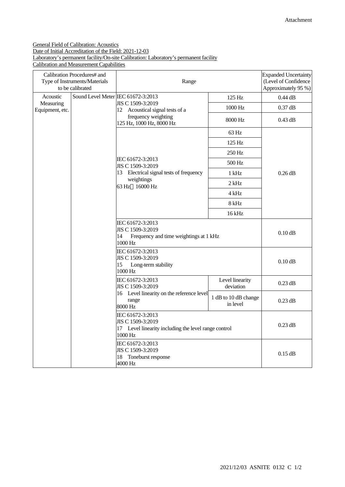## General Field of Calibration: Acoustics Date of Initial Accreditation of the Field: 2021-12-03 Laboratory's permanent facility/On-site Calibration: Laboratory's permanent facility Calibration and Measurement Capabilities

| Calibration Procedures# and<br>Type of Instruments/Materials<br>to be calibrated |                                    | Range                                                                                                            |                                  | <b>Expanded Uncertainty</b><br>(Level of Confidence<br>Approximately 95 %) |
|----------------------------------------------------------------------------------|------------------------------------|------------------------------------------------------------------------------------------------------------------|----------------------------------|----------------------------------------------------------------------------|
| Acoustic<br>Measuring<br>Equipment, etc.                                         | Sound Level Meter IEC 61672-3:2013 | JIS C 1509-3:2019<br>12 Acoustical signal tests of a<br>frequency weighting<br>125 Hz, 1000 Hz, 8000 Hz          | 125 Hz                           | $0.44$ dB                                                                  |
|                                                                                  |                                    |                                                                                                                  | 1000 Hz                          | $0.37$ dB                                                                  |
|                                                                                  |                                    |                                                                                                                  | 8000 Hz                          | $0.43$ dB                                                                  |
|                                                                                  |                                    | IEC 61672-3:2013<br>JIS C 1509-3:2019<br>13 Electrical signal tests of frequency<br>weightings<br>63 Hz 16000 Hz | 63 Hz                            | $0.26$ dB                                                                  |
|                                                                                  |                                    |                                                                                                                  | 125 Hz                           |                                                                            |
|                                                                                  |                                    |                                                                                                                  | 250 Hz                           |                                                                            |
|                                                                                  |                                    |                                                                                                                  | 500 Hz                           |                                                                            |
|                                                                                  |                                    |                                                                                                                  | $1$ kHz                          |                                                                            |
|                                                                                  |                                    |                                                                                                                  | $2$ kHz                          |                                                                            |
|                                                                                  |                                    |                                                                                                                  | 4 kHz                            |                                                                            |
|                                                                                  |                                    |                                                                                                                  | 8 kHz                            |                                                                            |
|                                                                                  |                                    |                                                                                                                  | 16 kHz                           |                                                                            |
|                                                                                  |                                    | IEC 61672-3:2013<br>JIS C 1509-3:2019<br>14<br>Frequency and time weightings at 1 kHz<br>1000 Hz                 |                                  | $0.10$ dB                                                                  |
|                                                                                  |                                    | IEC 61672-3:2013<br>JIS C 1509-3:2019<br>15<br>Long-term stability<br>1000 Hz                                    |                                  | $0.10$ dB                                                                  |
|                                                                                  |                                    | IEC 61672-3:2013<br>JIS C 1509-3:2019                                                                            | Level linearity<br>deviation     | $0.23$ dB                                                                  |
|                                                                                  |                                    | 16 Level linearity on the reference level<br>range<br>8000 Hz                                                    | 1 dB to 10 dB change<br>in level | $0.23$ dB                                                                  |
|                                                                                  |                                    | IEC 61672-3:2013<br>JIS C 1509-3:2019<br>17 Level linearity including the level range control<br>1000 Hz         |                                  | $0.23$ dB                                                                  |
|                                                                                  |                                    | IEC 61672-3:2013<br>JIS C 1509-3:2019<br>Toneburst response<br>18<br>4000 Hz                                     |                                  | $0.15$ dB                                                                  |